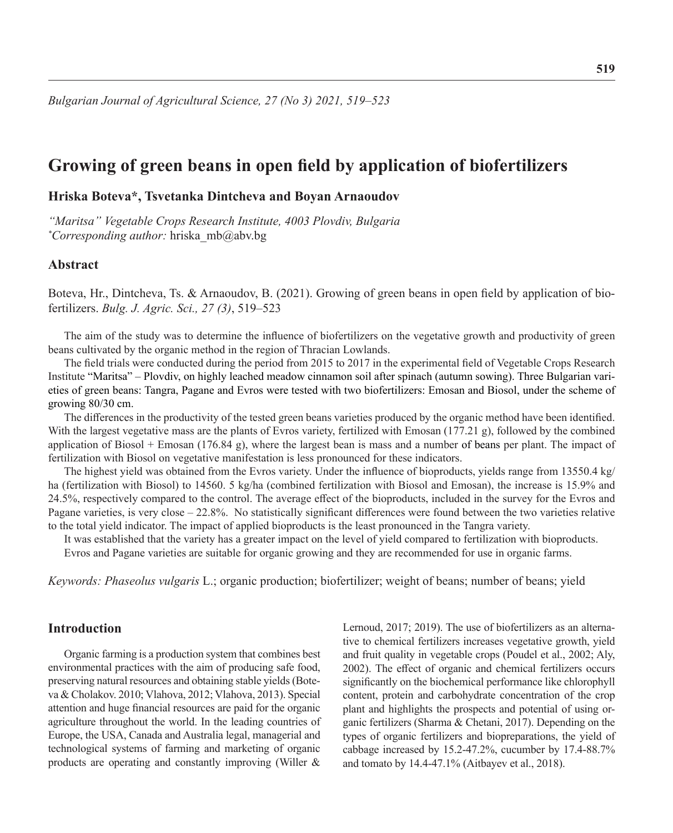# **Growing of green beans in open field by application of biofertilizers**

# **Hriska Boteva\*, Tsvetanka Dintcheva and Boyan Arnaoudov**

*"Maritsa" Vegetable Crops Research Institute, 4003 Plovdiv, Bulgaria \* Corresponding author:* hriska\_mb@abv.bg

# **Abstract**

Boteva, Hr., Dintcheva, Ts. & Arnaoudov, B. (2021). Growing of green beans in open field by application of biofertilizers. *Bulg. J. Agric. Sci., 27 (3)*, 519–523

The aim of the study was to determine the influence of biofertilizers on the vegetative growth and productivity of green beans cultivated by the organic method in the region of Thracian Lowlands.

The field trials were conducted during the period from 2015 to 2017 in the experimental field of Vegetable Crops Research Institute "Maritsa" – Plovdiv, on highly leached meadow cinnamon soil after spinach (autumn sowing). Three Bulgarian varieties of green beans: Tangra, Pagane and Evros were tested with two biofertilizers: Emosan and Biosol, under the scheme of growing 80/30 cm.

The differences in the productivity of the tested green beans varieties produced by the organic method have been identified. With the largest vegetative mass are the plants of Evros variety, fertilized with Emosan (177.21 g), followed by the combined application of Biosol + Emosan (176.84 g), where the largest bean is mass and a number of beans per plant. The impact of fertilization with Biosol on vegetative manifestation is less pronounced for these indicators.

The highest yield was obtained from the Evros variety. Under the influence of bioproducts, yields range from 13550.4 kg/ ha (fertilization with Biosol) to 14560. 5 kg/ha (combined fertilization with Biosol and Emosan), the increase is 15.9% and 24.5%, respectively compared to the control. The average effect of the bioproducts, included in the survey for the Evros and Pagane varieties, is very close – 22.8%. No statistically significant differences were found between the two varieties relative to the total yield indicator. The impact of applied bioproducts is the least pronounced in the Tangra variety.

It was established that the variety has a greater impact on the level of yield compared to fertilization with bioproducts. Evros and Pagane varieties are suitable for organic growing and they are recommended for use in organic farms.

*Keywords: Phaseolus vulgaris* L.; organic production; biofertilizer; weight of beans; number of beans; yield

# **Introduction**

Organic farming is a production system that combines best environmental practices with the aim of producing safe food, preserving natural resources and obtaining stable yields (Boteva & Cholakov. 2010; Vlahova, 2012; Vlahova, 2013). Special attention and huge financial resources are paid for the organic agriculture throughout the world. In the leading countries of Europe, the USA, Canada and Australia legal, managerial and technological systems of farming and marketing of organic products are operating and constantly improving (Willer &

Lernoud, 2017; 2019). The use of biofertilizers as an alternative to chemical fertilizers increases vegetative growth, yield and fruit quality in vegetable crops (Poudel et al., 2002; Aly, 2002). The effect of organic and chemical fertilizers occurs significantly on the biochemical performance like chlorophyll content, protein and carbohydrate concentration of the crop plant and highlights the prospects and potential of using organic fertilizers (Sharma & Chetani, 2017). Depending on the types of organic fertilizers and biopreparations, the yield of cabbage increased by 15.2-47.2%, cucumber by 17.4-88.7% and tomato by 14.4-47.1% (Aitbayev et al., 2018).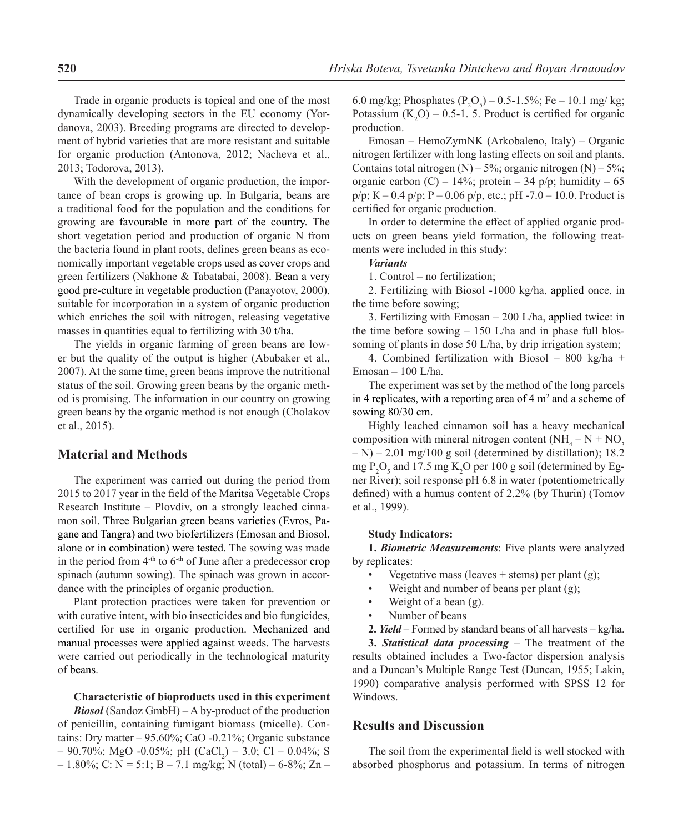Trade in organic products is topical and one of the most dynamically developing sectors in the EU economy (Yordanova, 2003). Breeding programs are directed to development of hybrid varieties that are more resistant and suitable for organic production (Antonova, 2012; Nacheva et al., 2013; Todorova, 2013).

With the development of organic production, the importance of bean crops is growing up. In Bulgaria, beans are a traditional food for the population and the conditions for growing are favourable in more part of the country. The short vegetation period and production of organic N from the bacteria found in plant roots, defines green beans as economically important vegetable crops used as cover crops and green fertilizers (Nakhone & Tabatabai, 2008). Bean a very good pre-culture in vegetable production (Panayotov, 2000), suitable for incorporation in a system of organic production which enriches the soil with nitrogen, releasing vegetative masses in quantities equal to fertilizing with 30 t/ha.

The yields in organic farming of green beans are lower but the quality of the output is higher (Abubaker et al., 2007). At the same time, green beans improve the nutritional status of the soil. Growing green beans by the organic method is promising. The information in our country on growing green beans by the organic method is not enough (Cholakov et al., 2015).

# **Material and Methods**

The experiment was carried out during the period from 2015 to 2017 year in the field of the Maritsa Vegetable Crops Research Institute – Plovdiv, on a strongly leached cinnamon soil. Three Bulgarian green beans varieties (Evros, Pagane and Tangra) and two biofertilizers (Emosan and Biosol, alone or in combination) were tested. The sowing was made in the period from  $4<sup>-th</sup>$  to  $6<sup>-th</sup>$  of June after a predecessor crop spinach (autumn sowing). The spinach was grown in accordance with the principles of organic production.

Plant protection practices were taken for prevention or with curative intent, with bio insecticides and bio fungicides, certified for use in organic production. Mechanized and manual processes were applied against weeds. The harvests were carried out periodically in the technological maturity of beans.

### **Characteristic of bioproducts used in this experiment**

*Biosol* (Sandoz GmbH) – A by-product of the production of penicillin, containing fumigant biomass (micelle). Contains: Dry matter – 95.60%; CaO -0.21%; Organic substance  $-$  90.70%; MgO -0.05%; pH (CaCl<sub>2</sub>) – 3.0; Cl – 0.04%; S  $-1.80\%$ ; C: N = 5:1; B – 7.1 mg/kg; N (total) – 6-8%; Zn –

6.0 mg/kg; Phosphates ( $P_2O_5$ ) – 0.5-1.5%; Fe – 10.1 mg/kg; Potassium  $(K_2O) - 0.5$ -1. 5. Product is certified for organic production.

Еmosan **–** HemoZymNK (Arkobaleno, Italy) – Organic nitrogen fertilizer with long lasting effects on soil and plants. Contains total nitrogen  $(N) - 5\%$ ; organic nitrogen  $(N) - 5\%$ ; organic carbon (C) – 14%; protein – 34 p/p; humidity – 65  $p/p$ ; K – 0.4  $p/p$ ; P – 0.06  $p/p$ , etc.; pH -7.0 – 10.0. Product is certified for organic production.

In order to determine the effect of applied organic products on green beans yield formation, the following treatments were included in this study:

#### *Variants*

1. Control – no fertilization;

2. Fertilizing with Biosol -1000 kg/ha, applied once, in the time before sowing;

3. Fertilizing with Emosan – 200 L/ha, applied twice: in the time before sowing  $-150$  L/ha and in phase full blossoming of plants in dose 50 L/ha, by drip irrigation system;

4. Combined fertilization with Biosol – 800 kg/ha + Emosan – 100 L/ha.

The experiment was set by the method of the long parcels in 4 replicates, with a reporting area of  $4 \text{ m}^2$  and a scheme of sowing 80/30 cm.

Highly leached cinnamon soil has a heavy mechanical composition with mineral nitrogen content  $(NH_4 - N + NO_3)$  $(-N) - 2.01$  mg/100 g soil (determined by distillation); 18.2 mg  $P_2O_5$  and 17.5 mg  $K_2O$  per 100 g soil (determined by Egner River); soil response pH 6.8 in water (potentiometrically defined) with a humus content of 2.2% (by Thurin) (Tomov et al., 1999).

#### **Study Indicators:**

**1.** *Biometric Measurements*: Five plants were analyzed by replicates:

- Vegetative mass (leaves  $+$  stems) per plant (g);
- Weight and number of beans per plant (g);
- Weight of a bean  $(g)$ .
- Number of beans
- **2.** *Yield* Formed by standard beans of all harvests kg/ha.

**3.** *Statistical data processing* – The treatment of the results obtained includes a Two-factor dispersion analysis and a Duncan's Multiple Range Test (Duncan, 1955; Lakin, 1990) comparative analysis performed with SPSS 12 for Windows.

# **Results and Discussion**

The soil from the experimental field is well stocked with absorbed phosphorus and potassium. In terms of nitrogen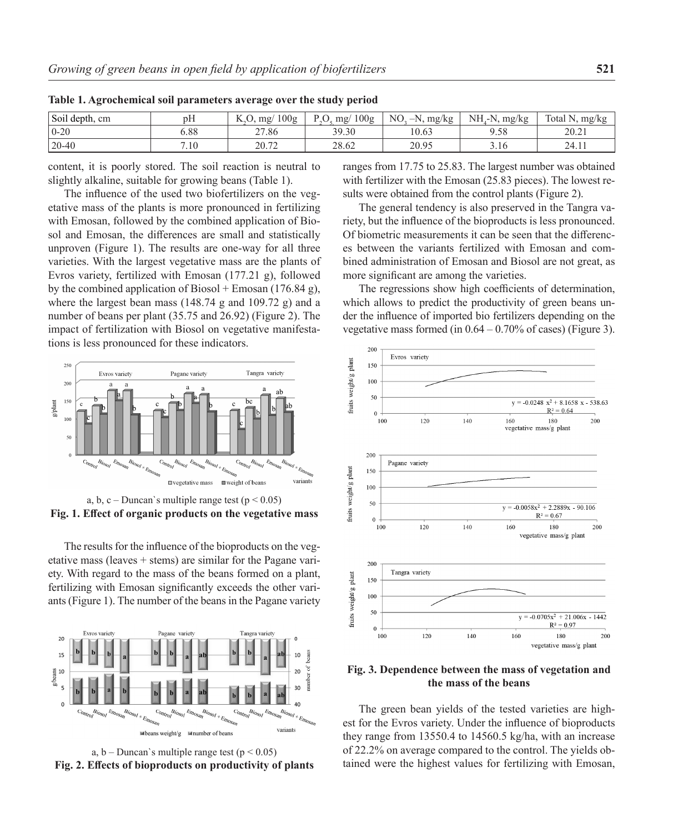| Soil depth, cm | T<br>pН | 100g<br>TZ.<br>mg/ | 100 <sub>g</sub><br>P C<br>mg/<br>$\sim$ .<br>$\overline{\phantom{a}}$ | N <sub>O</sub><br>$-N$ .<br>. mg/kg | mg/kg<br>NH.<br>$^{\prime}$ -N. | Total N.<br>N, mg/kg |
|----------------|---------|--------------------|------------------------------------------------------------------------|-------------------------------------|---------------------------------|----------------------|
| $0 - 20$       | 5.88    | 27.86              | 39.30                                                                  | 10.63                               | 9.58                            | 20.21                |
| $20 - 40$      | 7.10    | 20.72<br>20.12     | 28.62                                                                  | 20.95                               | 3.16                            | 24.11                |

**Table 1. Agrochemical soil parameters average over the study period**

content, it is poorly stored. The soil reaction is neutral to slightly alkaline, suitable for growing beans (Table 1).

The influence of the used two biofertilizers on the vegetative mass of the plants is more pronounced in fertilizing with Emosan, followed by the combined application of Biosol and Emosan, the differences are small and statistically unproven (Figure 1). The results are one-way for all three varieties. With the largest vegetative mass аre the plants of Evros variety, fertilized with Emosan (177.21 g), followed by the combined application of Biosol + Emosan (176.84 g), where the largest bean mass (148.74 g and 109.72 g) and a number of beans per plant (35.75 and 26.92) (Figure 2). The impact of fertilization with Biosol on vegetative manifestations is less pronounced for these indicators.



a, b, c – Duncan's multiple range test ( $p < 0.05$ ) **Fig. 1. Effect of organic products on the vegetative mass** 

The results for the influence of the bioproducts on the vegetative mass (leaves + stems) are similar for the Pagane variety. With regard to the mass of the beans formed on a plant, fertilizing with Emosan significantly exceeds the other variants (Figure 1). The number of the beans in the Pagane variety



a,  $b -$ Duncan's multiple range test ( $p < 0.05$ ) **Fig. 2. Effects of bioproducts on productivity of plants**

ranges from 17.75 to 25.83. The largest number was obtained with fertilizer with the Emosan (25.83 pieces). The lowest results were obtained from the control plants (Figure 2).

The general tendency is also preserved in the Tangra variety, but the influence of the bioproducts is less pronounced. Of biometric measurements it can be seen that the differences between the variants fertilized with Emosan and combined administration of Emosan and Biosol are not great, as more significant are among the varieties.

The regressions show high coefficients of determination, which allows to predict the productivity of green beans under the influence of imported bio fertilizers depending on the vegetative mass formed (in  $0.64 - 0.70\%$  of cases) (Figure 3).



**Fig. 3. Dependence between the mass of vegetation and the mass of the beans**

The green bean yields of the tested varieties are highest for the Evros variety. Under the influence of bioproducts they range from 13550.4 to 14560.5 kg/ha, with an increase of 22.2% on average compared to the control. The yields obtained were the highest values for fertilizing with Emosan,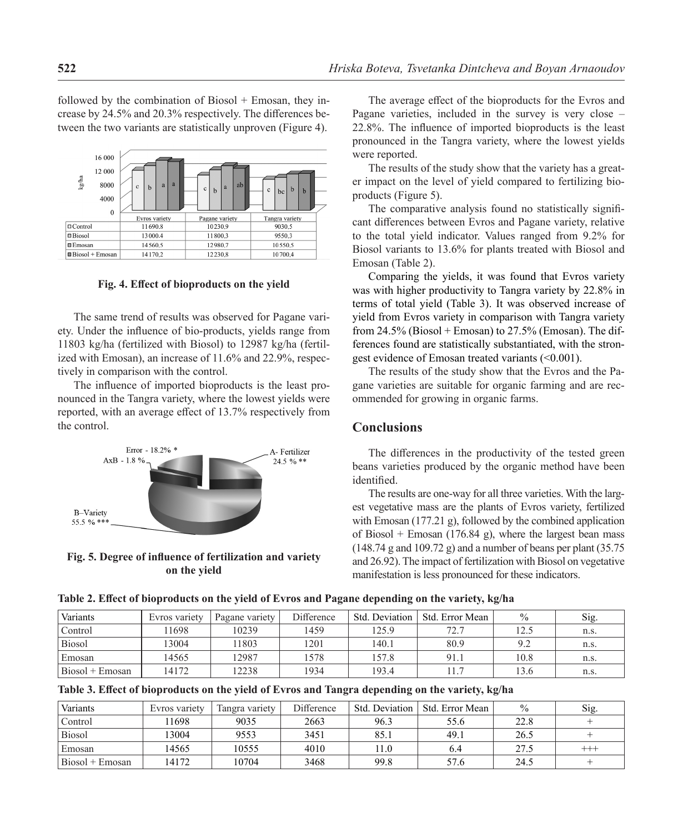followed by the combination of Biosol  $+$  Emosan, they increase by 24.5% and 20.3% respectively. The differences between the two variants are statistically unproven (Figure 4).



**Fig. 4. Effect of bioproducts on the yield**

The same trend of results was observed for Pagane variety. Under the influence of bio-products, yields range from 11803 kg/ha (fertilized with Biosol) to 12987 kg/ha (fertilized with Emosan), an increase of 11.6% and 22.9%, respectively in comparison with the control.

The influence of imported bioproducts is the least pronounced in the Tangra variety, where the lowest yields were reported, with an average effect of 13.7% respectively from the control.



**Fig. 5. Degree of influence of fertilization and variety on the yield**

The average effect of the bioproducts for the Evros and Pagane varieties, included in the survey is very close – 22.8%. The influence of imported bioproducts is the least pronounced in the Tangra variety, where the lowest yields were reported.

The results of the study show that the variety has a greater impact on the level of yield compared to fertilizing bioproducts (Figure 5).

The comparative analysis found no statistically significant differences between Evros and Pagane variety, relative to the total yield indicator. Values ranged from 9.2% for Biosol variants to 13.6% for plants treated with Biosol and Emosan (Table 2).

Comparing the yields, it was found that Evros variety was with higher productivity to Tangra variety by 22.8% in terms of total yield (Table 3). It was observed increase of yield from Evros variety in comparison with Tangra variety from  $24.5\%$  (Biosol + Emosan) to  $27.5\%$  (Emosan). The differences found are statistically substantiated, with the strongest evidence of Emosan treated variants (<0.001).

The results of the study show that the Еvros and the Pagane varieties are suitable for organic farming and are recommended for growing in organic farms.

# **Conclusions**

The differences in the productivity of the tested green beans varieties produced by the organic method have been identified.

The results are one-way for all three varieties. With the largest vegetative mass are the plants of Evros variety, fertilized with Emosan (177.21 g), followed by the combined application of Biosol + Emosan (176.84 g), where the largest bean mass  $(148.74 \text{ g and } 109.72 \text{ g})$  and a number of beans per plant  $(35.75 \text{ g})$ and 26.92). The impact of fertilization with Biosol on vegetative manifestation is less pronounced for these indicators.

**Table 2. Effect of bioproducts on the yield of Evros and Pagane depending on the variety, kg/ha**

| Variants          | Evros variety | Pagane variety | Difference | Std. Deviation | Std. Error Mean | $\frac{0}{0}$ | Sig. |
|-------------------|---------------|----------------|------------|----------------|-----------------|---------------|------|
| Control           | 1698          | 10239          | 1459       | 125.9          | 72.7            | 12.5          | n.s. |
| <b>Biosol</b>     | 3004          | 11803          | 1201       | 140.1          | 80.9            | 9.2           | n.s. |
| Emosan            | 4565          | 12987          | 1578       | 157.8          | 91.1            | 10.8          | n.s. |
| $Biosol + Emosan$ | 14172         | 2238           | 1934       | 193.4          |                 | 13.6          | n.s. |

**Table 3. Effect of bioproducts on the yield of Evros and Tangra depending on the variety, kg/ha**

| Variants          | Evros variety | Tangra variety | Difference | Std. Deviation | Std. Error Mean | $\%$ | Sig.     |
|-------------------|---------------|----------------|------------|----------------|-----------------|------|----------|
| Control           | 1698          | 9035           | 2663       | 96.3           | 55.6            | 22.8 |          |
| <b>Biosol</b>     | 3004          | 9553           | 3451       | 85.1           | 49.1            | 26.5 |          |
| Emosan            | 14565         | 10555          | 4010       | 11.0           | 6.4             | 27.5 | $^{+++}$ |
| $Biosol + Emosan$ | 14172         | 10704          | 3468       | 99.8           | 57.6            | 24.5 |          |